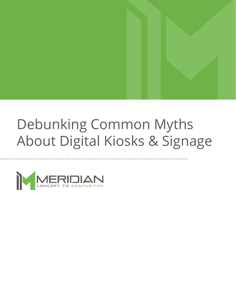## Debunking Common Myths About Digital Kiosks & Signage

…………………………………………………………………………………………...

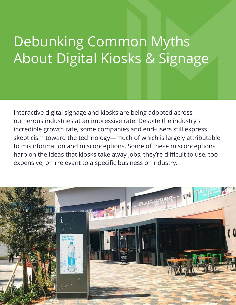# Debunking Common Myths About Digital Kiosks & Signage

Interactive digital signage and kiosks are being adopted across numerous industries at an impressive rate. Despite the industry's incredible growth rate, some companies and end-users still express skepticism toward the technology—much of which is largely attributable to misinformation and misconceptions. Some of these misconceptions harp on the ideas that kiosks take away jobs, they're difficult to use, too expensive, or irrelevant to a specific business or industry.

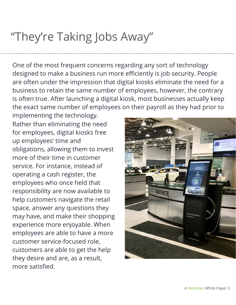### "They're Taking Jobs Away"

One of the most frequent concerns regarding any sort of technology designed to make a business run more efficiently is job security. People are often under the impression that digital kiosks eliminate the need for a business to retain the same number of employees, however, the contrary is often true. After launching a digital kiosk, most businesses actually keep the exact same number of employees on their payroll as they had prior to

………………………………………………………………………………………………………………….

implementing the technology. Rather than eliminating the need for employees, digital kiosks free up employees' time and obligations, allowing them to invest more of their time in customer service. For instance, instead of operating a cash register, the employees who once held that responsibility are now available to help customers navigate the retail space, answer any questions they may have, and make their shopping experience more enjoyable. When employees are able to have a more customer service-focused role, customers are able to get the help they desire and are, as a result, more satisfied.

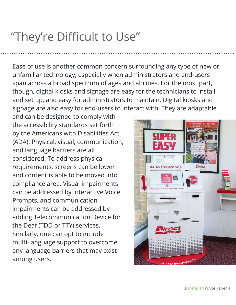### "They're Difficult to Use"

Ease of use is another common concern surrounding any type of new or unfamiliar technology, especially when administrators and end-users span across a broad spectrum of ages and abilities. For the most part, though, digital kiosks and signage are easy for the technicians to install and set up, and easy for administrators to maintain. Digital kiosks and signage are also easy for end-users to interact with. They are adaptable

………………………………………………………………………………………………………………….

and can be designed to comply with the accessibility standards set forth by the Americans with Disabilities Act (ADA). Physical, visual, communication, and language barriers are all considered. To address physical requirements, screens can be lower and content is able to be moved into compliance area. Visual impairments can be addressed by Interactive Voice Prompts, and communication impairments can be addressed by adding Telecommunication Device for the Deaf (TDD or TTY) services. Similarly, one can opt to include multi-language support to overcome any language barriers that may exist among users.

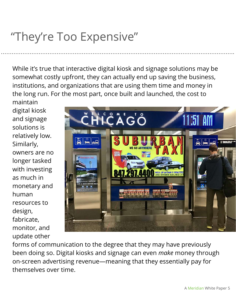## "They're Too Expensive"

While it's true that interactive digital kiosk and signage solutions may be somewhat costly upfront, they can actually end up saving the business, institutions, and organizations that are using them time and money in the long run. For the most part, once built and launched, the cost to

………………………………………………………………………………………………………………….

maintain digital kiosk and signage solutions is relatively low. Similarly, owners are no longer tasked with investing as much in monetary and human resources to design, fabricate, monitor, and update other



forms of communication to the degree that they may have previously been doing so. Digital kiosks and signage can even *make* money through on-screen advertising revenue—meaning that they essentially pay for themselves over time.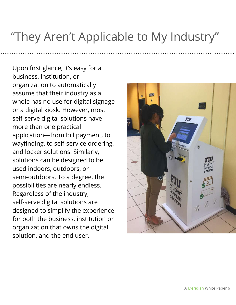#### "They Aren't Applicable to My Industry"

………………………………………………………………………………………………………………….

Upon first glance, it's easy for a business, institution, or organization to automatically assume that their industry as a whole has no use for digital signage or a digital kiosk. However, most self-serve digital solutions have more than one practical application—from bill payment, to wayfinding, to self-service ordering, and locker solutions. Similarly, solutions can be designed to be used indoors, outdoors, or semi-outdoors. To a degree, the possibilities are nearly endless. Regardless of the industry, self-serve digital solutions are designed to simplify the experience for both the business, institution or organization that owns the digital solution, and the end user.

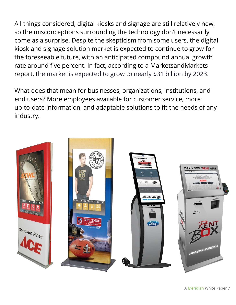All things considered, digital kiosks and signage are still relatively new, so the misconceptions surrounding the technology don't necessarily come as a surprise. Despite the skepticism from some users, the digital kiosk and signage solution market is expected to continue to grow for the foreseeable future, with an anticipated compound annual growth rate around five percent. In fact, according to a MarketsandMarkets report, the market is expected to grow to nearly \$31 billion by 2023.

What does that mean for businesses, organizations, institutions, and end users? More employees available for customer service, more up-to-date information, and adaptable solutions to fit the needs of any industry.